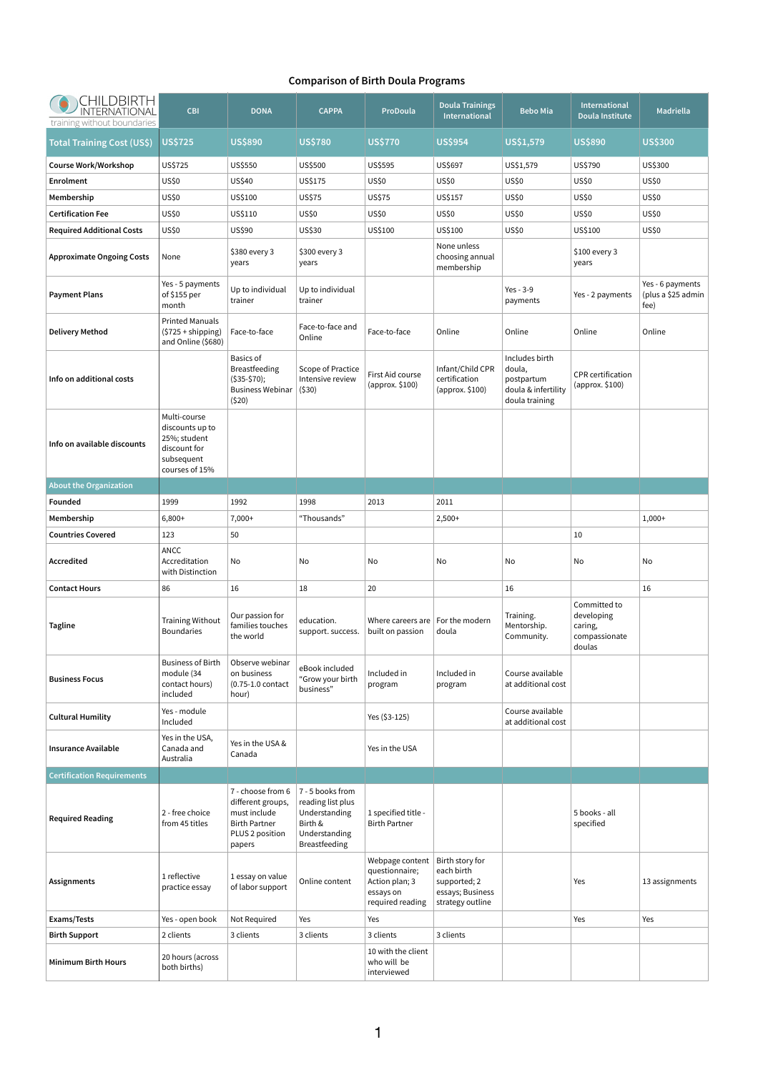## **Comparison of Birth Doula Programs**

| CHILDBIRTH<br>INTERNATIONAL<br>training without boundaries | <b>CBI</b>                                                                                      | <b>DONA</b>                                                                                                 | <b>CAPPA</b>                                                                                        | ProDoula                                                                             | <b>Doula Trainings</b><br><b>International</b>                                        | <b>Bebo Mia</b>                                                                 | International<br>Doula Institute                                 | Madriella                                      |
|------------------------------------------------------------|-------------------------------------------------------------------------------------------------|-------------------------------------------------------------------------------------------------------------|-----------------------------------------------------------------------------------------------------|--------------------------------------------------------------------------------------|---------------------------------------------------------------------------------------|---------------------------------------------------------------------------------|------------------------------------------------------------------|------------------------------------------------|
| <b>Total Training Cost (US\$)</b>                          | <b>US\$725</b>                                                                                  | <b>US\$890</b>                                                                                              | <b>US\$780</b>                                                                                      | <b>US\$770</b>                                                                       | <b>US\$954</b>                                                                        | <b>US\$1,579</b>                                                                | <b>US\$890</b>                                                   | <b>US\$300</b>                                 |
| <b>Course Work/Workshop</b>                                | US\$725                                                                                         | US\$550                                                                                                     | US\$500                                                                                             | <b>US\$595</b>                                                                       | <b>US\$697</b>                                                                        | US\$1,579                                                                       | US\$790                                                          | US\$300                                        |
| <b>Enrolment</b>                                           | <b>US\$0</b>                                                                                    | US\$40                                                                                                      | US\$175                                                                                             | <b>US\$0</b>                                                                         | <b>US\$0</b>                                                                          | <b>US\$0</b>                                                                    | <b>US\$0</b>                                                     | <b>US\$0</b>                                   |
| Membership                                                 | US\$0                                                                                           | US\$100                                                                                                     | <b>US\$75</b>                                                                                       | <b>US\$75</b>                                                                        | US\$157                                                                               | <b>US\$0</b>                                                                    | <b>US\$0</b>                                                     | <b>US\$0</b>                                   |
| <b>Certification Fee</b>                                   | <b>US\$0</b>                                                                                    | US\$110                                                                                                     | <b>US\$0</b>                                                                                        | <b>US\$0</b>                                                                         | <b>US\$0</b>                                                                          | <b>US\$0</b>                                                                    | <b>US\$0</b>                                                     | <b>US\$0</b>                                   |
| <b>Required Additional Costs</b>                           | <b>US\$0</b>                                                                                    | US\$90                                                                                                      | <b>US\$30</b>                                                                                       | US\$100                                                                              | US\$100                                                                               | <b>US\$0</b>                                                                    | US\$100                                                          | <b>US\$0</b>                                   |
| <b>Approximate Ongoing Costs</b>                           | None                                                                                            | \$380 every 3<br>years                                                                                      | \$300 every 3<br>years                                                                              |                                                                                      | None unless<br>choosing annual<br>membership                                          |                                                                                 | \$100 every 3<br>years                                           |                                                |
| <b>Payment Plans</b>                                       | Yes - 5 payments<br>of \$155 per<br>month                                                       | Up to individual<br>trainer                                                                                 | Up to individual<br>trainer                                                                         |                                                                                      |                                                                                       | Yes - $3-9$<br>payments                                                         | Yes - 2 payments                                                 | Yes - 6 payments<br>(plus a \$25 admin<br>fee) |
| <b>Delivery Method</b>                                     | <b>Printed Manuals</b><br>$(5725 + shipping)$<br>and Online (\$680)                             | Face-to-face                                                                                                | Face-to-face and<br>Online                                                                          | Face-to-face                                                                         | Online                                                                                | Online                                                                          | Online                                                           | Online                                         |
| Info on additional costs                                   |                                                                                                 | <b>Basics of</b><br><b>Breastfeeding</b><br>$($ \$35-\$70);<br><b>Business Webinar</b><br>(520)             | Scope of Practice<br>Intensive review<br>(530)                                                      | First Aid course<br>(approx. \$100)                                                  | Infant/Child CPR<br>certification<br>$\langle$ approx. \$100)                         | Includes birth<br>doula,<br>postpartum<br>doula & infertility<br>doula training | <b>CPR</b> certification<br>(approx. \$100)                      |                                                |
| Info on available discounts                                | Multi-course<br>discounts up to<br>25%; student<br>discount for<br>subsequent<br>courses of 15% |                                                                                                             |                                                                                                     |                                                                                      |                                                                                       |                                                                                 |                                                                  |                                                |
| <b>About the Organization</b>                              |                                                                                                 |                                                                                                             |                                                                                                     |                                                                                      |                                                                                       |                                                                                 |                                                                  |                                                |
| Founded                                                    | 1999                                                                                            | 1992                                                                                                        | 1998                                                                                                | 2013                                                                                 | 2011                                                                                  |                                                                                 |                                                                  |                                                |
| Membership                                                 | $6,800+$                                                                                        | $7,000+$                                                                                                    | "Thousands"                                                                                         |                                                                                      | $2,500+$                                                                              |                                                                                 |                                                                  | $1,000+$                                       |
| <b>Countries Covered</b>                                   | 123                                                                                             | 50                                                                                                          |                                                                                                     |                                                                                      |                                                                                       |                                                                                 | 10                                                               |                                                |
| Accredited                                                 | <b>ANCC</b><br>Accreditation<br>with Distinction                                                | No                                                                                                          | No                                                                                                  | No                                                                                   | No                                                                                    | No                                                                              | No                                                               | No                                             |
| <b>Contact Hours</b>                                       | 86                                                                                              | 16                                                                                                          | 18                                                                                                  | 20                                                                                   |                                                                                       | 16                                                                              |                                                                  | 16                                             |
| <b>Tagline</b>                                             | <b>Training Without</b><br><b>Boundaries</b>                                                    | Our passion for<br>families touches<br>the world                                                            | education.<br>support. success.                                                                     | Where careers are $ $ For the modern<br>built on passion                             | doula                                                                                 | Training.<br>Mentorship.<br>Community.                                          | Committed to<br>developing<br>caring,<br>compassionate<br>doulas |                                                |
| <b>Business Focus</b>                                      | <b>Business of Birth</b><br>module (34<br>contact hours)<br>included                            | Observe webinar<br>on business<br>$(0.75-1.0 \text{ contact})$<br>hour)                                     | eBook included<br>"Grow your birth<br>business"                                                     | Included in<br>program                                                               | Included in<br>program                                                                | Course available<br>at additional cost                                          |                                                                  |                                                |
| <b>Cultural Humility</b>                                   | Yes - module<br>Included                                                                        |                                                                                                             |                                                                                                     | Yes (\$3-125)                                                                        |                                                                                       | Course available<br>at additional cost                                          |                                                                  |                                                |
| <b>Insurance Available</b>                                 | Yes in the USA,<br>Canada and<br>Australia                                                      | Yes in the USA &<br>Canada                                                                                  |                                                                                                     | Yes in the USA                                                                       |                                                                                       |                                                                                 |                                                                  |                                                |
| <b>Certification Requirements</b>                          |                                                                                                 |                                                                                                             |                                                                                                     |                                                                                      |                                                                                       |                                                                                 |                                                                  |                                                |
| <b>Required Reading</b>                                    | 2 - free choice<br>from 45 titles                                                               | 7 - choose from 6<br>different groups,<br>must include<br><b>Birth Partner</b><br>PLUS 2 position<br>papers | 7 - 5 books from<br>reading list plus<br>Understanding<br>Birth &<br>Understanding<br>Breastfeeding | 1 specified title -<br><b>Birth Partner</b>                                          |                                                                                       |                                                                                 | 5 books - all<br>specified                                       |                                                |
| <b>Assignments</b>                                         | 1 reflective<br>practice essay                                                                  | 1 essay on value<br>of labor support                                                                        | Online content                                                                                      | Webpage content<br>questionnaire;<br>Action plan; 3<br>essays on<br>required reading | Birth story for<br>each birth<br>supported; 2<br>essays; Business<br>strategy outline |                                                                                 | Yes                                                              | 13 assignments                                 |
| Exams/Tests                                                | Yes - open book                                                                                 | Not Required                                                                                                | Yes                                                                                                 | Yes                                                                                  |                                                                                       |                                                                                 | Yes                                                              | Yes                                            |
| <b>Birth Support</b>                                       | 2 clients                                                                                       | 3 clients                                                                                                   | 3 clients                                                                                           | 3 clients                                                                            | 3 clients                                                                             |                                                                                 |                                                                  |                                                |
| <b>Minimum Birth Hours</b>                                 | 20 hours (across<br>both births)                                                                |                                                                                                             |                                                                                                     | 10 with the client<br>who will be<br>interviewed                                     |                                                                                       |                                                                                 |                                                                  |                                                |

1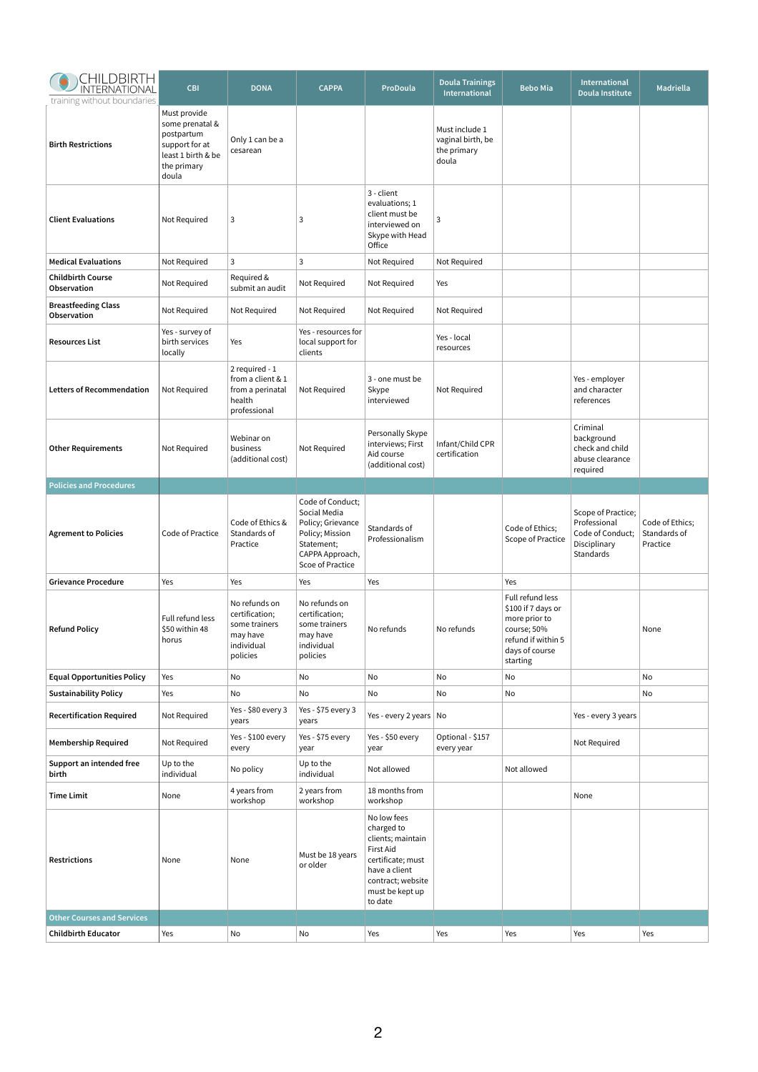| CHILDBIRTH<br>INTERNATIONAL<br>training without boundaries | <b>CBI</b>                                                                                                    | <b>DONA</b>                                                                            | <b>CAPPA</b>                                                                                                                  | ProDoula                                                                                                                                             | <b>Doula Trainings</b><br><b>International</b>              | <b>Bebo Mia</b>                                                                                                            | International<br>Doula Institute                                                    | <b>Madriella</b>                            |
|------------------------------------------------------------|---------------------------------------------------------------------------------------------------------------|----------------------------------------------------------------------------------------|-------------------------------------------------------------------------------------------------------------------------------|------------------------------------------------------------------------------------------------------------------------------------------------------|-------------------------------------------------------------|----------------------------------------------------------------------------------------------------------------------------|-------------------------------------------------------------------------------------|---------------------------------------------|
| <b>Birth Restrictions</b>                                  | Must provide<br>some prenatal &<br>postpartum<br>support for at<br>least 1 birth & be<br>the primary<br>doula | Only 1 can be a<br>cesarean                                                            |                                                                                                                               |                                                                                                                                                      | Must include 1<br>vaginal birth, be<br>the primary<br>doula |                                                                                                                            |                                                                                     |                                             |
| <b>Client Evaluations</b>                                  | Not Required                                                                                                  | 3                                                                                      | 3                                                                                                                             | 3 - client<br>evaluations; 1<br>client must be<br>interviewed on<br>Skype with Head<br>Office                                                        | 3                                                           |                                                                                                                            |                                                                                     |                                             |
| <b>Medical Evaluations</b>                                 | Not Required                                                                                                  | $\mathbf{3}$                                                                           | $\mathbf{3}$                                                                                                                  | Not Required                                                                                                                                         | Not Required                                                |                                                                                                                            |                                                                                     |                                             |
| <b>Childbirth Course</b><br>Observation                    | Not Required                                                                                                  | Required &<br>submit an audit                                                          | Not Required                                                                                                                  | Not Required                                                                                                                                         | Yes                                                         |                                                                                                                            |                                                                                     |                                             |
| <b>Breastfeeding Class</b><br>Observation                  | Not Required                                                                                                  | Not Required                                                                           | Not Required                                                                                                                  | Not Required                                                                                                                                         | Not Required                                                |                                                                                                                            |                                                                                     |                                             |
| <b>Resources List</b>                                      | Yes - survey of<br>birth services<br>locally                                                                  | Yes                                                                                    | Yes - resources for<br>local support for<br>clients                                                                           |                                                                                                                                                      | Yes - local<br>resources                                    |                                                                                                                            |                                                                                     |                                             |
| <b>Letters of Recommendation</b>                           | Not Required                                                                                                  | 2 required - 1<br>from a client & 1<br>from a perinatal<br>health<br>professional      | Not Required                                                                                                                  | 3 - one must be<br>Skype<br>interviewed                                                                                                              | Not Required                                                |                                                                                                                            | Yes - employer<br>and character<br>references                                       |                                             |
| <b>Other Requirements</b>                                  | Not Required                                                                                                  | Webinar on<br>business<br>(additional cost)                                            | Not Required                                                                                                                  | Personally Skype<br>interviews; First<br>Aid course<br>(additional cost)                                                                             | Infant/Child CPR<br>certification                           |                                                                                                                            | Criminal<br>background<br>check and child<br>abuse clearance<br>required            |                                             |
| <b>Policies and Procedures</b>                             |                                                                                                               |                                                                                        |                                                                                                                               |                                                                                                                                                      |                                                             |                                                                                                                            |                                                                                     |                                             |
| <b>Agrement to Policies</b>                                | Code of Practice                                                                                              | Code of Ethics &<br>Standards of<br>Practice                                           | Code of Conduct;<br>Social Media<br>Policy; Grievance<br>Policy; Mission<br>Statement;<br>CAPPA Approach,<br>Scoe of Practice | Standards of<br>Professionalism                                                                                                                      |                                                             | Code of Ethics;<br>Scope of Practice                                                                                       | Scope of Practice;<br>Professional<br>Code of Conduct;<br>Disciplinary<br>Standards | Code of Ethics;<br>Standards of<br>Practice |
| <b>Grievance Procedure</b>                                 | Yes                                                                                                           | Yes                                                                                    | Yes                                                                                                                           | Yes                                                                                                                                                  |                                                             | Yes                                                                                                                        |                                                                                     |                                             |
| <b>Refund Policy</b>                                       | Full refund less<br>\$50 within 48<br>horus                                                                   | No refunds on<br>certification;<br>some trainers<br>may have<br>individual<br>policies | No refunds on<br>certification;<br>some trainers<br>may have<br>individual<br>policies                                        | No refunds                                                                                                                                           | No refunds                                                  | Full refund less<br>\$100 if 7 days or<br>more prior to<br>course; 50%<br>refund if within 5<br>days of course<br>starting |                                                                                     | None                                        |
| <b>Equal Opportunities Policy</b>                          | Yes                                                                                                           | No                                                                                     | No                                                                                                                            | No                                                                                                                                                   | No                                                          | No                                                                                                                         |                                                                                     | No                                          |
| <b>Sustainability Policy</b>                               | Yes                                                                                                           | No                                                                                     | No                                                                                                                            | No.                                                                                                                                                  | No                                                          | No                                                                                                                         |                                                                                     | No                                          |
| <b>Recertification Required</b>                            | Not Required                                                                                                  | Yes - \$80 every 3<br>years                                                            | Yes - \$75 every 3<br>years                                                                                                   | Yes - every 2 years No                                                                                                                               |                                                             |                                                                                                                            | Yes - every 3 years                                                                 |                                             |
| <b>Membership Required</b>                                 | Not Required                                                                                                  | Yes - \$100 every<br>every                                                             | Yes - \$75 every<br>year                                                                                                      | Yes - \$50 every<br>year                                                                                                                             | Optional - \$157<br>every year                              |                                                                                                                            | Not Required                                                                        |                                             |
| Support an intended free<br>birth                          | Up to the<br>individual                                                                                       | No policy                                                                              | Up to the<br>individual                                                                                                       | Not allowed                                                                                                                                          |                                                             | Not allowed                                                                                                                |                                                                                     |                                             |
| <b>Time Limit</b>                                          | None                                                                                                          | 4 years from<br>workshop                                                               | 2 years from<br>workshop                                                                                                      | 18 months from<br>workshop                                                                                                                           |                                                             |                                                                                                                            | None                                                                                |                                             |
| <b>Restrictions</b>                                        | None                                                                                                          | None                                                                                   | Must be 18 years<br>or older                                                                                                  | No low fees<br>charged to<br>clients; maintain<br>First Aid<br>certificate; must<br>have a client<br>contract; website<br>must be kept up<br>to date |                                                             |                                                                                                                            |                                                                                     |                                             |
| <b>Other Courses and Services</b>                          |                                                                                                               |                                                                                        |                                                                                                                               |                                                                                                                                                      |                                                             |                                                                                                                            |                                                                                     |                                             |
| <b>Childbirth Educator</b>                                 | Yes                                                                                                           | No                                                                                     | No                                                                                                                            | Yes                                                                                                                                                  | Yes                                                         | Yes                                                                                                                        | Yes                                                                                 | Yes                                         |